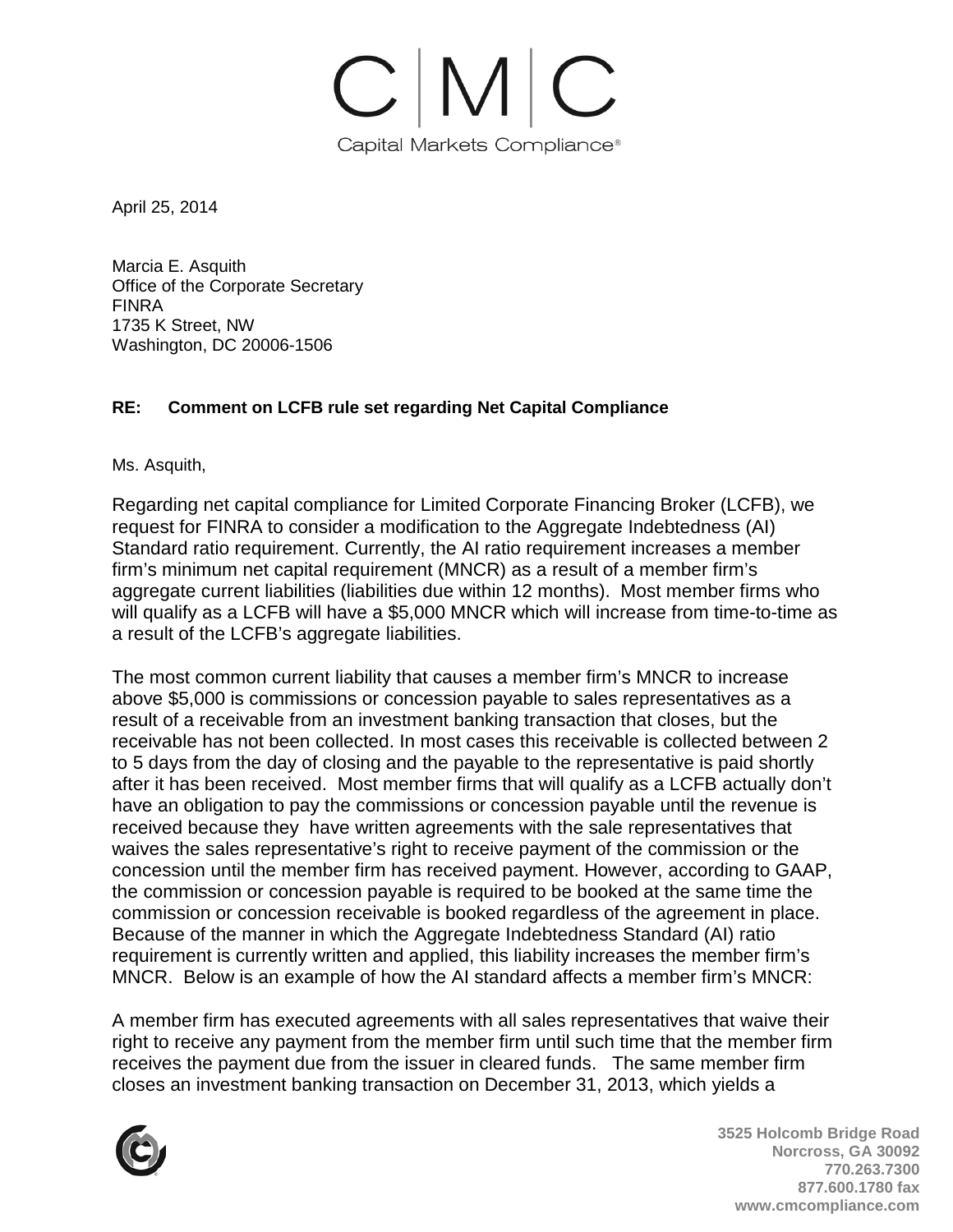

April 25, 2014

Marcia E. Asquith Office of the Corporate Secretary FINRA 1735 K Street, NW Washington, DC 20006-1506

## **RE: Comment on LCFB rule set regarding Net Capital Compliance**

Ms. Asquith,

Regarding net capital compliance for Limited Corporate Financing Broker (LCFB), we request for FINRA to consider a modification to the Aggregate Indebtedness (AI) Standard ratio requirement. Currently, the AI ratio requirement increases a member firm's minimum net capital requirement (MNCR) as a result of a member firm's aggregate current liabilities (liabilities due within 12 months). Most member firms who will qualify as a LCFB will have a \$5,000 MNCR which will increase from time-to-time as a result of the LCFB's aggregate liabilities.

The most common current liability that causes a member firm's MNCR to increase above \$5,000 is commissions or concession payable to sales representatives as a result of a receivable from an investment banking transaction that closes, but the receivable has not been collected. In most cases this receivable is collected between 2 to 5 days from the day of closing and the payable to the representative is paid shortly after it has been received. Most member firms that will qualify as a LCFB actually don't have an obligation to pay the commissions or concession payable until the revenue is received because they have written agreements with the sale representatives that waives the sales representative's right to receive payment of the commission or the concession until the member firm has received payment. However, according to GAAP, the commission or concession payable is required to be booked at the same time the commission or concession receivable is booked regardless of the agreement in place. Because of the manner in which the Aggregate Indebtedness Standard (AI) ratio requirement is currently written and applied, this liability increases the member firm's MNCR. Below is an example of how the AI standard affects a member firm's MNCR:

A member firm has executed agreements with all sales representatives that waive their right to receive any payment from the member firm until such time that the member firm receives the payment due from the issuer in cleared funds. The same member firm closes an investment banking transaction on December 31, 2013, which yields a



**3525 Holcomb Bridge Road Norcross, GA 30092 770.263.7300 877.600.1780 fax www.cmcompliance.com**